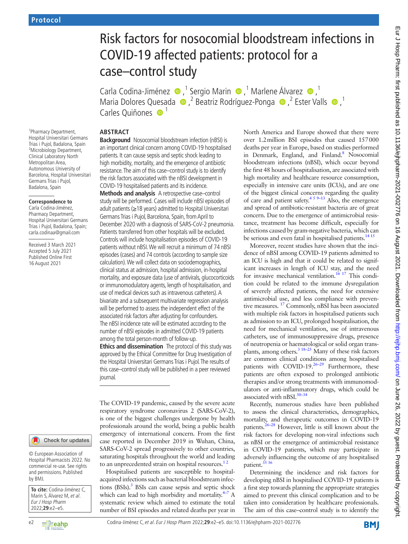<sup>1</sup>Pharmacy Department, Hospital Universitari Germans Trias i Pujol, Badalona, Spain <sup>2</sup>Microbiology Department, Clinical Laboratory North Metropolitan Area, Autonomous University of Barcelona, Hospital Universitari Germans Trias i Pujol, Badalona, Spain

#### **Correspondence to**

Carla Codina-Jiménez, Pharmacy Department, Hospital Universitari Germans Trias i Pujol, Badalona, Spain; carla.codinaa@gmail.com

Received 3 March 2021 Accepted 5 July 2021 Published Online First 16 August 2021

#### Check for updates

© European Association of Hospital Pharmacists 2022. No commercial re-use. See rights and permissions. Published by BMJ.

**To cite:** Codina-Jiménez C, Marin S, Álvarez M, et al. Eur J Hosp Pharm 2022;**29**:e2–e5.

# Risk factors for nosocomial bloodstream infections in COVID-19 affected patients: protocol for a case–control study

CarlaCodina-Jiménez  $\bullet$ ,<sup>1</sup> Sergio Marin  $\bullet$ ,<sup>1</sup> Marlene Álvarez  $\bullet$ ,<sup>1</sup> MariaDolores Quesada  $\bigcirc$ , <sup>2</sup> Beatriz Rodríguez-Ponga  $\bigcirc$ , <sup>2</sup> Ester Valls  $\bigcirc$ , <sup>1</sup> Carles Quiñones <sup>1</sup>

#### **ABSTRACT**

**Background** Nosocomial bloodstream infection (nBSI) is an important clinical concern among COVID-19 hospitalised patients. It can cause sepsis and septic shock leading to high morbidity, mortality, and the emergence of antibiotic resistance. The aim of this case–control study is to identify the risk factors associated with the nBSI development in COVID-19 hospitalised patients and its incidence.

**Methods and analysis** A retrospective case–control study will be performed. Cases will include nBSI episodes of adult patients (≥18 years) admitted to Hospital Universitari Germans Trias i Pujol, Barcelona, Spain, from April to December 2020 with a diagnosis of SARS-CoV-2 pneumonia. Patients transferred from other hospitals will be excluded. Controls will include hospitalisation episodes of COVID-19 patients without nBSI. We will recruit a minimum of 74 nBSI episodes (cases) and 74 controls (according to sample size calculation). We will collect data on sociodemographics, clinical status at admission, hospital admission, in-hospital mortality, and exposure data (use of antivirals, glucocorticoids or immunomodulatory agents, length of hospitalisation, and use of medical devices such as intravenous catheters). A bivariate and a subsequent multivariate regression analysis will be performed to assess the independent effect of the associated risk factors after adjusting for confounders. The nBSI incidence rate will be estimated according to the number of nBSI episodes in admitted COVID-19 patients among the total person-month of follow-up.

**Ethics and dissemination** The protocol of this study was approved by the Ethical Committee for Drug Investigation of the Hospital Universitari Germans Trias i Pujol. The results of this case–control study will be published in a peer reviewed journal.

The COVID-19 pandemic, caused by the severe acute respiratory syndrome coronavirus 2 (SARS-CoV-2), is one of the biggest challenges undergone by health professionals around the world, being a public health emergency of international concern. From the first case reported in December 2019 in Wuhan, China, SARS-CoV-2 spread progressively to other countries, saturating hospitals throughout the world and leading to an unprecedented strain on hospital resources. $12$ 

Hospitalised patients are susceptible to hospitalacquired infections such as bacterial bloodstream infec-tions (BSIs).<sup>[3](#page-3-1)</sup> BSIs can cause sepsis and septic shock which can lead to high morbidity and mortality. $4\frac{1}{7}$  A systematic review which aimed to estimate the total number of BSI episodes and related deaths per year in

North America and Europe showed that there were over 1.2million BSI episodes that caused 157000 deaths per year in Europe, based on studies performed in Denmark, England, and Finland.<sup>[8](#page-3-3)</sup> Nosocomial bloodstream infections (nBSI), which occur beyond the first 48 hours of hospitalisation, are associated with high mortality and healthcare resource consumption, especially in intensive care units (ICUs), and are one of the biggest clinical concerns regarding the quality of care and patient safety.<sup>4 5 9–13</sup> Also, the emergence and spread of antibiotic-resistant bacteria are of great concern. Due to the emergence of antimicrobial resistance, treatment has become difficult, especially for infections caused by gram-negative bacteria, which can be serious and even fatal in hospitalised patients.<sup>14 15</sup>

Moreover, recent studies have shown that the incidence of nBSI among COVID-19 patients admitted to an ICU is high and that it could be related to significant increases in length of ICU stay, and the need for invasive mechanical ventilation.<sup>16 17</sup> This condition could be related to the immune dysregulation of severely affected patients, the need for extensive antimicrobial use, and less compliance with preventive measures. [17](#page-3-6) Commonly, nBSI has been associated with multiple risk factors in hospitalised patients such as admission to an ICU, prolonged hospitalisation, the need for mechanical ventilation, use of intravenous catheters, use of immunosuppressive drugs, presence of neutropenia or haematological or solid organ transplants, among others.<sup>3</sup> 18–25 Many of these risk factors are common clinical conditions among hospitalised patients with COVID-19. $26-29$  Furthermore, these patients are often exposed to prolonged antibiotic therapies and/or strong treatments with immunomodulators or anti-inflammatory drugs, which could be associated with nBSI.<sup>30-34</sup>

Recently, numerous studies have been published to assess the clinical characteristics, demographics, mortality, and therapeutic outcomes in COVID-19 patients.[26–28](#page-3-7) However, little is still known about the risk factors for developing non-viral infections such as nBSI or the emergence of antimicrobial resistance in COVID-19 patients, which may participate in adversely influencing the outcome of any hospitalised patient.<sup>35</sup> 36

Determining the incidence and risk factors for developing nBSI in hospitalised COVID-19 patients is a first step towards planning the appropriate strategies aimed to prevent this clinical complication and to be taken into consideration by healthcare professionals. The aim of this case–control study is to identify the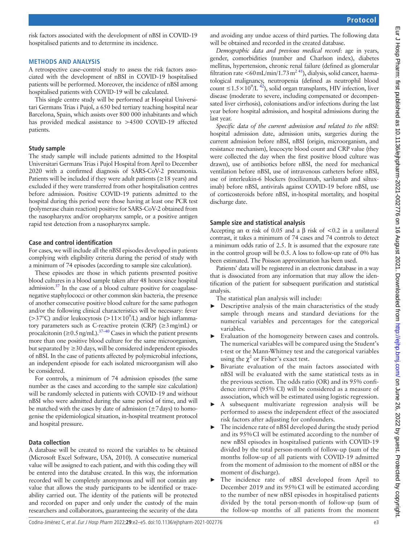risk factors associated with the development of nBSI in COVID-19 hospitalised patients and to determine its incidence.

#### **METHODS AND ANALYSIS**

A retrospective case–control study to assess the risk factors associated with the development of nBSI in COVID-19 hospitalised patients will be performed. Moreover, the incidence of nBSI among hospitalised patients with COVID-19 will be calculated.

This single centre study will be performed at Hospital Universitari Germans Trias i Pujol, a 650 bed tertiary teaching hospital near Barcelona, Spain, which assists over 800 000 inhabitants and which has provided medical assistance to >4500 COVID-19 affected patients.

#### **Study sample**

The study sample will include patients admitted to the Hospital Universitari Germans Trias i Pujol Hospital from April to December 2020 with a confirmed diagnosis of SARS-CoV-2 pneumonia. Patients will be included if they were adult patients ( $\geq$  18 years) and excluded if they were transferred from other hospitalisation centres before admission. Positive COVID-19 patients admitted to the hospital during this period were those having at least one PCR test (polymerase chain reaction) positive for SARS-CoV-2 obtained from the nasopharynx and/or oropharynx sample, or a positive antigen rapid test detection from a nasopharynx sample.

## **Case and control identification**

For cases, we will include all the nBSI episodes developed in patients complying with eligibility criteria during the period of study with a minimum of 74 episodes (according to sample size calculation).

These episodes are those in which patients presented positive blood cultures in a blood sample taken after 48 hours since hospital admission. $37$  In the case of a blood culture positive for coagulasenegative staphylococci or other common skin bacteria, the presence of another consecutive positive blood culture for the same pathogen and/or the following clinical characteristics will be necessary: fever (>37°C) and/or leukocytosis (>11×10<sup>9</sup>/L) and/or high inflammatory parameters such as C-reactive protein (CRP) (≥3mg/mL) or procalcitonin ( $\geq 0.5$  ng/mL).<sup>37–40</sup> Cases in which the patient presents more than one positive blood culture for the same microorganism, but separated by  $\geq$  30 days, will be considered independent episodes of nBSI. In the case of patients affected by polymicrobial infections, an independent episode for each isolated microorganism will also be considered.

For controls, a minimum of 74 admission episodes (the same number as the cases and according to the sample size calculation) will be randomly selected in patients with COVID-19 and without nBSI who were admitted during the same period of time, and will be matched with the cases by date of admission  $(\pm 7 \text{ days})$  to homogenise the epidemiological situation, in-hospital treatment protocol and hospital pressure.

#### **Data collection**

A database will be created to record the variables to be obtained (Microsoft Excel Software, USA, 2010). A consecutive numerical value will be assigned to each patient, and with this coding they will be entered into the database created. In this way, the information recorded will be completely anonymous and will not contain any value that allows the study participants to be identified or traceability carried out. The identity of the patients will be protected and recorded on paper and only under the custody of the main researchers and collaborators, guaranteeing the security of the data

and avoiding any undue access of third parties. The following data will be obtained and recorded in the created database.

*Demographic data and previous medical record*: age in years, gender, comorbidities (number and Charlson index), diabetes mellitus, hypertension, chronic renal failure (defined as glomerular filtration rate <60 mL/min/1.73 m<sup>2 [41](#page-3-11)</sup>), dialysis, solid cancer, haematological malignancy, neutropenia (defined as neutrophil blood count ≤1.5×10<sup>9</sup>/L<sup>42</sup>), solid organ transplants, HIV infection, liver disease (moderate to severe, including compensated or decompensated liver cirrhosis), colonisations and/or infections during the last year before hospital admission, and hospital admissions during the last year.

*Specific data of the current admission and related to the nBSI*: hospital admission date, admission units, surgeries during the current admission before nBSI, nBSI (origin, microorganism, and resistance mechanism), leucocyte blood count and CRP value (they were collected the day when the first positive blood culture was drawn), use of antibiotics before nBSI, the need for mechanical ventilation before nBSI, use of intravenous catheters before nBSI, use of interleukin-6 blockers (tocilizumab, sarilumab and siltuximab) before nBSI, antivirals against COVID-19 before nBSI, use of corticosteroids before nBSI, in-hospital mortality, and hospital discharge date.

## **Sample size and statistical analysis**

Accepting an  $\alpha$  risk of 0.05 and a  $\beta$  risk of <0.2 in a unilateral contrast, it takes a minimum of 74 cases and 74 controls to detect a minimum odds ratio of 2.5. It is assumed that the exposure rate in the control group will be 0.5. A loss to follow-up rate of 0% has been estimated. The Poisson approximation has been used.

Patients' data will be registered in an electronic database in a way that is dissociated from any information that may allow the identification of the patient for subsequent purification and statistical analysis.

The statistical plan analysis will include:

- ► Descriptive analysis of the main characteristics of the study sample through means and standard deviations for the numerical variables and percentages for the categorical variables.
- Evaluation of the homogeneity between cases and controls. The numerical variables will be compared using the Student's t-test or the Mann-Whitney test and the categorical variables using the  $\chi^2$  or Fisher's exact test.
- Bivariate evaluation of the main factors associated with nBSI will be evaluated with the same statistical tests as in the previous section. The odds ratio (OR) and its 95% confidence interval (95% CI) will be considered as a measure of association, which will be estimated using logistic regression.
- A subsequent multivariate regression analysis will be performed to assess the independent effect of the associated risk factors after adjusting for confounders.
- The incidence rate of nBSI developed during the study period and its 95%CI will be estimated according to the number of new nBSI episodes in hospitalised patients with COVID-19 divided by the total person-month of follow-up (sum of the months follow-up of all patients with COVID-19 admitted from the moment of admission to the moment of nBSI or the moment of discharge).
- ► The incidence rate of nBSI developed from April to December 2019 and its 95%CI will be estimated according to the number of new nBSI episodes in hospitalised patients divided by the total person-month of follow-up (sum of the follow-up months of all patients from the moment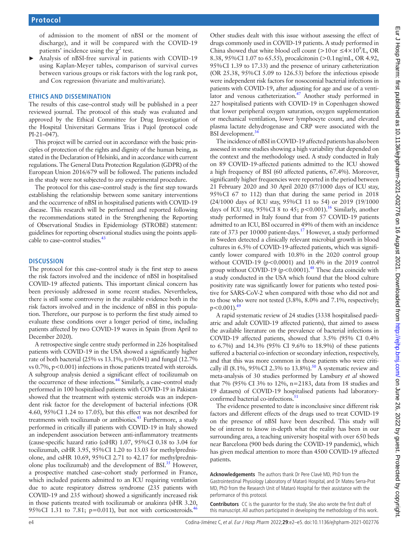of admission to the moment of nBSI or the moment of discharge), and it will be compared with the COVID-19 patients' incidence using the  $\chi^2$  test.

Analysis of nBSI-free survival in patients with COVID-19 using Kaplan-Meyer tables, comparison of survival curves between various groups or risk factors with the log rank pot, and Cox regression (bivariate and multivariate).

#### **ETHICS AND DISSEMINATION**

The results of this case–control study will be published in a peer reviewed journal. The protocol of this study was evaluated and approved by the Ethical Committee for Drug Investigation of the Hospital Universitari Germans Trias i Pujol (protocol code PI-21–047).

This project will be carried out in accordance with the basic principles of protection of the rights and dignity of the human being, as stated in the Declaration of Helsinki, and in accordance with current regulations. The General Data Protection Regulation (GDPR) of the European Union 2016/679 will be followed. The patients included in the study were not subjected to any experimental procedure.

The protocol for this case–control study is the first step towards establishing the relationship between some sanitary interventions and the occurrence of nBSI in hospitalised patients with COVID-19 disease. This research will be performed and reported following the recommendations stated in the Strengthening the Reporting of Observational Studies in Epidemiology (STROBE) statement: guidelines for reporting observational studies using the points applicable to case–control studies.<sup>43</sup>

#### **DISCUSSION**

The protocol for this case–control study is the first step to assess the risk factors involved and the incidence of nBSI in hospitalised COVID-19 affected patients. This important clinical concern has been previously addressed in some recent studies. Nevertheless, there is still some controversy in the available evidence both in the risk factors involved and in the incidence of nBSI in this population. Therefore, our purpose is to perform the first study aimed to evaluate these conditions over a longer period of time, including patients affected by two COVID-19 waves in Spain (from April to December 2020).

A retrospective single centre study performed in 226 hospitalised patients with COVID-19 in the USA showed a significantly higher rate of both bacterial (25% vs 13.1%, p=0.041) and fungal (12.7% vs 0.7%, p<0.001) infections in those patients treated with steroids. A subgroup analysis denied a significant effect of tocilizumab on the occurrence of these infections.<sup>44</sup> Similarly, a case–control study performed in 100 hospitalised patients with COVID-19 in Pakistan showed that the treatment with systemic steroids was an independent risk factor for the development of bacterial infections (OR 4.60, 95%CI 1.24 to 17.05), but this effect was not described for treatments with tocilizumab or antibiotics. $45$  Furthermore, a study performed in critically ill patients with COVID-19 in Italy showed an independent association between anti-inflammatory treatments (cause-specific hazard ratio (csHR) 1.07, 95%CI 0.38 to 3.04 for tocilizumab, csHR 3.95, 95%CI 1.20 to 13.03 for methylprednisolone, and csHR 10.69, 95%CI 2.71 to 42.17 for methylprednisolone plus tocilizumab) and the development of BSI. $35$  However, a prospective matched case–cohort study performed in France, which included patients admitted to an ICU requiring ventilation due to acute respiratory distress syndrome (235 patients with COVID-19 and 235 without) showed a significantly increased risk in those patients treated with tocilizumab or anakinra (sHR 3.20, 95%CI 1.31 to 7.81; p=0.011), but not with corticosteroids.<sup>46</sup>

Other studies dealt with this issue without assessing the effect of drugs commonly used in COVID-19 patients. A study performed in China showed that white blood cell count (>10 or  $\leq 4 \times 10^9$ /L, OR 8.38, 95%CI 1.07 to 65.55), procalcitonin (>0.1ng/mL, OR 4.92, 95%CI 1.39 to 17.33) and the presence of urinary catheterization (OR 25.38, 95%CI 5.09 to 126.53) before the infectious episode were independent risk factors for nosocomial bacterial infections in patients with COVID-19, after adjusting for age and use of a ventilator and venous catheterization.<sup>47</sup> Another study performed in 227 hospitalised patients with COVID-19 in Copenhagen showed that lower peripheral oxygen saturation, oxygen supplementation or mechanical ventilation, lower lymphocyte count, and elevated plasma lactate dehydrogenase and CRP were associated with the BSI development.<sup>34</sup>

The incidence of nBSI in COVID-19 affected patients has also been assessed in some studies showing a high variability that depended on the context and the methodology used. A study conducted in Italy on 89 COVID-19-affected patients admitted to the ICU showed a high frequency of BSI (60 affected patients, 67.4%). Moreover, significantly higher frequencies were reported in the period between 21 February 2020 and 30 April 2020 (87/1000 days of ICU stay, 95%CI 67 to 112) than that during the same period in 2018 (24/1000 days of ICU stay, 95%CI 11 to 54) or 2019 (19/1000 days of ICU stay, 95%CI 8 to 45; p<0.001).<sup>16</sup> Similarly, another study performed in Italy found that from 57 COVID-19 patients admitted to an ICU, BSI occurred in 49% of them with an incidence rate of 373 per 10000 patient-days.<sup>17</sup> However, a study performed in Sweden detected a clinically relevant microbial growth in blood cultures in 6.5% of COVID-19-affected patients, which was significantly lower compared with 10.8% in the 2020 control group without COVID-19 (p<0.0001) and 10.4% in the 2019 control group without COVID-19 ( $p < 0.0001$ ).<sup>48</sup> These data coincide with a study conducted in the USA which found that the blood culture positivity rate was significantly lower for patients who tested positive for SARS-CoV-2 when compared with those who did not and to those who were not tested (3.8%, 8.0% and 7.1%, respectively;  $p < 0.001$ ).<sup>49</sup>

A rapid systematic review of 24 studies (3338 hospitalised paediatric and adult COVID-19 affected patients), that aimed to assess the available literature on the prevalence of bacterial infections in COVID-19 affected patients, showed that 3.5% (95% CI 0.4% to 6.7%) and 14.3% (95% CI 9.6% to 18.9%) of these patients suffered a bacterial co-infection or secondary infection, respectively, and that this was more common in those patients who were critically ill (8.1%, 95%CI 2.3% to 13.8%).<sup>50</sup> A systematic review and meta-analysis of 30 studies performed by Lansbury *et al* showed that 7% (95% CI 3% to 12%, n=2183, data from 18 studies and 19 datasets) of COVID-19 hospitalised patients had laboratoryconfirmed bacterial co-infections.<sup>51</sup>

The evidence presented to date is inconclusive since different risk factors and different effects of the drugs used to treat COVID-19 on the presence of nBSI have been described. This study will be of interest to know in-depth what the reality has been in our surrounding area, a teaching university hospital with over 650 beds near Barcelona (900 beds during the COVID-19 pandemic), which has given medical attention to more than 4500 COVID-19 affected patients.

**Acknowledgements** The authors thank Dr Pere Clavé MD, PhD from the Gastrointestinal Physiology Laboratory of Mataró Hospital, and Dr Mateu Serra-Prat MD, PhD from the Research Unit of Mataró Hospital for their assistance with the performance of this protocol.

**Contributors** CC is the guarantor for the study. She also wrote the first draft of this manuscript. All authors participated in developing the methodology of this work.